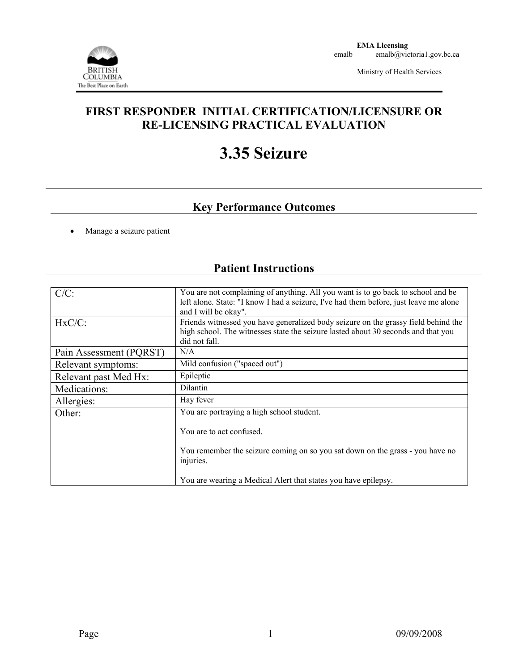

Ministry of Health Services

## **FIRST RESPONDER INITIAL CERTIFICATION/LICENSURE OR RE-LICENSING PRACTICAL EVALUATION**

# **3.35 Seizure**

## **Key Performance Outcomes**

• Manage a seizure patient

## **Patient Instructions**

| $C/C$ :                 | You are not complaining of anything. All you want is to go back to school and be<br>left alone. State: "I know I had a seizure, I've had them before, just leave me alone<br>and I will be okay". |  |  |  |
|-------------------------|---------------------------------------------------------------------------------------------------------------------------------------------------------------------------------------------------|--|--|--|
| $HxC/C$ :               | Friends witnessed you have generalized body seizure on the grassy field behind the<br>high school. The witnesses state the seizure lasted about 30 seconds and that you<br>did not fall.          |  |  |  |
| Pain Assessment (PQRST) | N/A                                                                                                                                                                                               |  |  |  |
| Relevant symptoms:      | Mild confusion ("spaced out")                                                                                                                                                                     |  |  |  |
| Relevant past Med Hx:   | Epileptic                                                                                                                                                                                         |  |  |  |
| Medications:            | <b>Dilantin</b>                                                                                                                                                                                   |  |  |  |
| Allergies:              | Hay fever                                                                                                                                                                                         |  |  |  |
| Other:                  | You are portraying a high school student.                                                                                                                                                         |  |  |  |
|                         | You are to act confused.                                                                                                                                                                          |  |  |  |
|                         | You remember the seizure coming on so you sat down on the grass - you have no<br>injuries.                                                                                                        |  |  |  |
|                         | You are wearing a Medical Alert that states you have epilepsy.                                                                                                                                    |  |  |  |